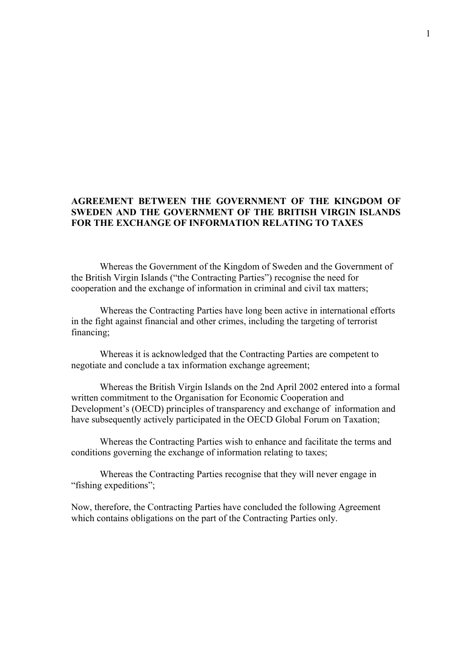## **AGREEMENT BETWEEN THE GOVERNMENT OF THE KINGDOM OF SWEDEN AND THE GOVERNMENT OF THE BRITISH VIRGIN ISLANDS FOR THE EXCHANGE OF INFORMATION RELATING TO TAXES**

Whereas the Government of the Kingdom of Sweden and the Government of the British Virgin Islands ("the Contracting Parties") recognise the need for cooperation and the exchange of information in criminal and civil tax matters;

 Whereas the Contracting Parties have long been active in international efforts in the fight against financial and other crimes, including the targeting of terrorist financing;

 Whereas it is acknowledged that the Contracting Parties are competent to negotiate and conclude a tax information exchange agreement;

Whereas the British Virgin Islands on the 2nd April 2002 entered into a formal written commitment to the Organisation for Economic Cooperation and Development's (OECD) principles of transparency and exchange of information and have subsequently actively participated in the OECD Global Forum on Taxation;

Whereas the Contracting Parties wish to enhance and facilitate the terms and conditions governing the exchange of information relating to taxes;

Whereas the Contracting Parties recognise that they will never engage in "fishing expeditions";

Now, therefore, the Contracting Parties have concluded the following Agreement which contains obligations on the part of the Contracting Parties only.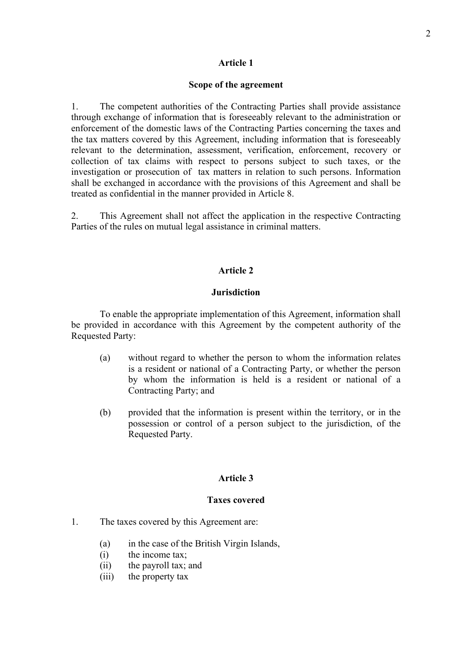### **Article 1**

#### **Scope of the agreement**

1. The competent authorities of the Contracting Parties shall provide assistance through exchange of information that is foreseeably relevant to the administration or enforcement of the domestic laws of the Contracting Parties concerning the taxes and the tax matters covered by this Agreement, including information that is foreseeably relevant to the determination, assessment, verification, enforcement, recovery or collection of tax claims with respect to persons subject to such taxes, or the investigation or prosecution of tax matters in relation to such persons. Information shall be exchanged in accordance with the provisions of this Agreement and shall be treated as confidential in the manner provided in Article 8.

2. This Agreement shall not affect the application in the respective Contracting Parties of the rules on mutual legal assistance in criminal matters.

#### **Article 2**

#### **Jurisdiction**

 To enable the appropriate implementation of this Agreement, information shall be provided in accordance with this Agreement by the competent authority of the Requested Party:

- (a) without regard to whether the person to whom the information relates is a resident or national of a Contracting Party, or whether the person by whom the information is held is a resident or national of a Contracting Party; and
- (b) provided that the information is present within the territory, or in the possession or control of a person subject to the jurisdiction, of the Requested Party.

#### **Article 3**

#### **Taxes covered**

- 1. The taxes covered by this Agreement are:
	- (a) in the case of the British Virgin Islands,
	- (i) the income tax;
	- (ii) the payroll tax; and
	- (iii) the property tax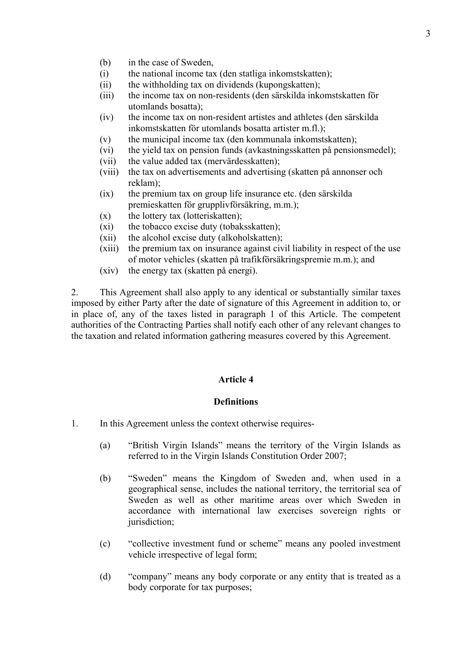- (b) in the case of Sweden,
- (i) the national income tax (den statliga inkomstskatten);
- (ii) the withholding tax on dividends (kupongskatten);
- (iii) the income tax on non-residents (den särskilda inkomstskatten för utomlands bosatta);
- (iv) the income tax on non-resident artistes and athletes (den särskilda inkomstskatten för utomlands bosatta artister m.fl.);
- (v) the municipal income tax (den kommunala inkomstskatten);
- (vi) the yield tax on pension funds (avkastningsskatten på pensionsmedel);
- (vii) the value added tax (mervärdesskatten);
- (viii) the tax on advertisements and advertising (skatten på annonser och reklam);
- (ix) the premium tax on group life insurance etc. (den särskilda premieskatten för grupplivförsäkring, m.m.);
- $(x)$  the lottery tax (lotteriskatten);
- (xi) the tobacco excise duty (tobaksskatten);
- (xii) the alcohol excise duty (alkoholskatten);
- (xiii) the premium tax on insurance against civil liability in respect of the use of motor vehicles (skatten på trafikförsäkringspremie m.m.); and
- (xiv) the energy tax (skatten på energi).

2. This Agreement shall also apply to any identical or substantially similar taxes imposed by either Party after the date of signature of this Agreement in addition to, or in place of, any of the taxes listed in paragraph 1 of this Article. The competent authorities of the Contracting Parties shall notify each other of any relevant changes to the taxation and related information gathering measures covered by this Agreement.

### **Article 4**

#### **Definitions**

- 1. In this Agreement unless the context otherwise requires-
	- (a) "British Virgin Islands" means the territory of the Virgin Islands as referred to in the Virgin Islands Constitution Order 2007;
	- (b) "Sweden" means the Kingdom of Sweden and, when used in a geographical sense, includes the national territory, the territorial sea of Sweden as well as other maritime areas over which Sweden in accordance with international law exercises sovereign rights or jurisdiction;
	- (c) "collective investment fund or scheme" means any pooled investment vehicle irrespective of legal form;
	- (d) "company" means any body corporate or any entity that is treated as a body corporate for tax purposes;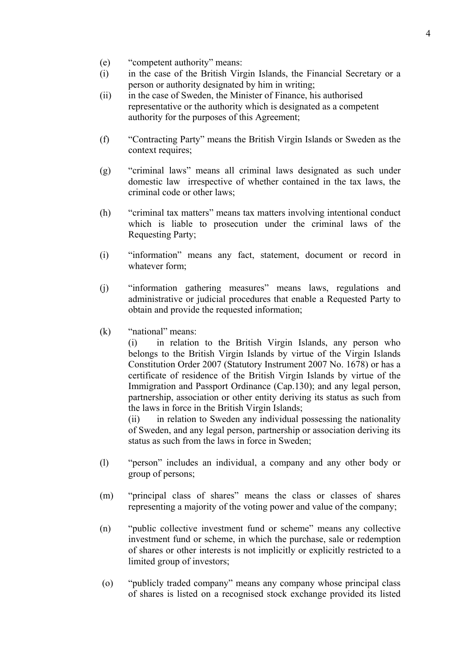- (e) "competent authority" means:
- (i) in the case of the British Virgin Islands, the Financial Secretary or a person or authority designated by him in writing;
- (ii) in the case of Sweden, the Minister of Finance, his authorised representative or the authority which is designated as a competent authority for the purposes of this Agreement;
- (f) "Contracting Party" means the British Virgin Islands or Sweden as the context requires;
- (g) "criminal laws" means all criminal laws designated as such under domestic law irrespective of whether contained in the tax laws, the criminal code or other laws;
- (h) "criminal tax matters" means tax matters involving intentional conduct which is liable to prosecution under the criminal laws of the Requesting Party;
- (i) "information" means any fact, statement, document or record in whatever form;
- (j) "information gathering measures" means laws, regulations and administrative or judicial procedures that enable a Requested Party to obtain and provide the requested information;
- (k) "national" means:

 (i) in relation to the British Virgin Islands, any person who belongs to the British Virgin Islands by virtue of the Virgin Islands Constitution Order 2007 (Statutory Instrument 2007 No. 1678) or has a certificate of residence of the British Virgin Islands by virtue of the Immigration and Passport Ordinance (Cap.130); and any legal person, partnership, association or other entity deriving its status as such from the laws in force in the British Virgin Islands;

(ii) in relation to Sweden any individual possessing the nationality of Sweden, and any legal person, partnership or association deriving its status as such from the laws in force in Sweden;

- (l) "person" includes an individual, a company and any other body or group of persons;
- (m) "principal class of shares" means the class or classes of shares representing a majority of the voting power and value of the company;
- (n) "public collective investment fund or scheme" means any collective investment fund or scheme, in which the purchase, sale or redemption of shares or other interests is not implicitly or explicitly restricted to a limited group of investors;
- (o) "publicly traded company" means any company whose principal class of shares is listed on a recognised stock exchange provided its listed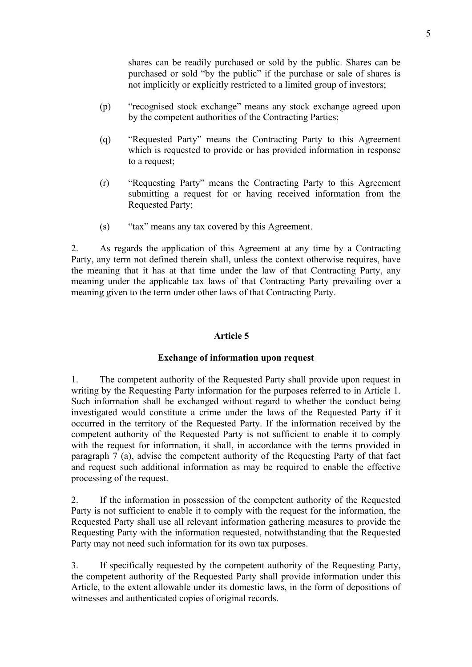shares can be readily purchased or sold by the public. Shares can be purchased or sold "by the public" if the purchase or sale of shares is not implicitly or explicitly restricted to a limited group of investors;

- (p) "recognised stock exchange" means any stock exchange agreed upon by the competent authorities of the Contracting Parties;
- (q) "Requested Party" means the Contracting Party to this Agreement which is requested to provide or has provided information in response to a request;
- (r) "Requesting Party" means the Contracting Party to this Agreement submitting a request for or having received information from the Requested Party;
- (s) "tax" means any tax covered by this Agreement.

2. As regards the application of this Agreement at any time by a Contracting Party, any term not defined therein shall, unless the context otherwise requires, have the meaning that it has at that time under the law of that Contracting Party, any meaning under the applicable tax laws of that Contracting Party prevailing over a meaning given to the term under other laws of that Contracting Party.

## **Article 5**

## **Exchange of information upon request**

1. The competent authority of the Requested Party shall provide upon request in writing by the Requesting Party information for the purposes referred to in Article 1. Such information shall be exchanged without regard to whether the conduct being investigated would constitute a crime under the laws of the Requested Party if it occurred in the territory of the Requested Party. If the information received by the competent authority of the Requested Party is not sufficient to enable it to comply with the request for information, it shall, in accordance with the terms provided in paragraph 7 (a), advise the competent authority of the Requesting Party of that fact and request such additional information as may be required to enable the effective processing of the request.

2. If the information in possession of the competent authority of the Requested Party is not sufficient to enable it to comply with the request for the information, the Requested Party shall use all relevant information gathering measures to provide the Requesting Party with the information requested, notwithstanding that the Requested Party may not need such information for its own tax purposes.

3. If specifically requested by the competent authority of the Requesting Party, the competent authority of the Requested Party shall provide information under this Article, to the extent allowable under its domestic laws, in the form of depositions of witnesses and authenticated copies of original records.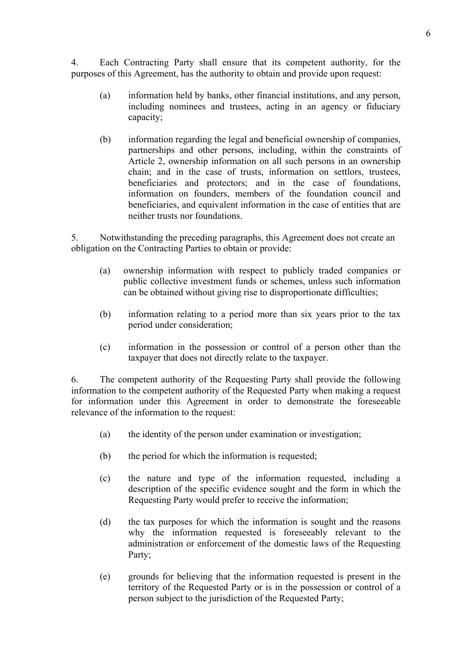4. Each Contracting Party shall ensure that its competent authority, for the purposes of this Agreement, has the authority to obtain and provide upon request:

- (a) information held by banks, other financial institutions, and any person, including nominees and trustees, acting in an agency or fiduciary capacity;
- (b) information regarding the legal and beneficial ownership of companies, partnerships and other persons, including, within the constraints of Article 2, ownership information on all such persons in an ownership chain; and in the case of trusts, information on settlors, trustees, beneficiaries and protectors; and in the case of foundations, information on founders, members of the foundation council and beneficiaries, and equivalent information in the case of entities that are neither trusts nor foundations.

5. Notwithstanding the preceding paragraphs, this Agreement does not create an obligation on the Contracting Parties to obtain or provide:

- (a) ownership information with respect to publicly traded companies or public collective investment funds or schemes, unless such information can be obtained without giving rise to disproportionate difficulties;
- (b) information relating to a period more than six years prior to the tax period under consideration;
- (c) information in the possession or control of a person other than the taxpayer that does not directly relate to the taxpayer.

6. The competent authority of the Requesting Party shall provide the following information to the competent authority of the Requested Party when making a request for information under this Agreement in order to demonstrate the foreseeable relevance of the information to the request:

- (a) the identity of the person under examination or investigation;
- (b) the period for which the information is requested;
- (c) the nature and type of the information requested, including a description of the specific evidence sought and the form in which the Requesting Party would prefer to receive the information;
- (d) the tax purposes for which the information is sought and the reasons why the information requested is foreseeably relevant to the administration or enforcement of the domestic laws of the Requesting Party;
- (e) grounds for believing that the information requested is present in the territory of the Requested Party or is in the possession or control of a person subject to the jurisdiction of the Requested Party;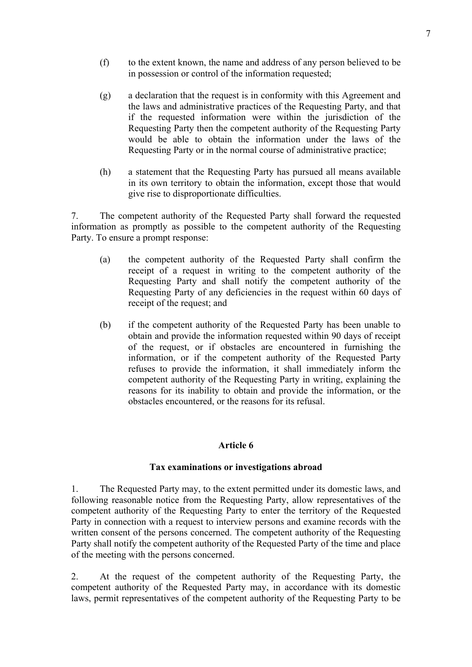- (f) to the extent known, the name and address of any person believed to be in possession or control of the information requested;
- (g) a declaration that the request is in conformity with this Agreement and the laws and administrative practices of the Requesting Party, and that if the requested information were within the jurisdiction of the Requesting Party then the competent authority of the Requesting Party would be able to obtain the information under the laws of the Requesting Party or in the normal course of administrative practice;
- (h) a statement that the Requesting Party has pursued all means available in its own territory to obtain the information, except those that would give rise to disproportionate difficulties.

7. The competent authority of the Requested Party shall forward the requested information as promptly as possible to the competent authority of the Requesting Party. To ensure a prompt response:

- (a) the competent authority of the Requested Party shall confirm the receipt of a request in writing to the competent authority of the Requesting Party and shall notify the competent authority of the Requesting Party of any deficiencies in the request within 60 days of receipt of the request; and
- (b) if the competent authority of the Requested Party has been unable to obtain and provide the information requested within 90 days of receipt of the request, or if obstacles are encountered in furnishing the information, or if the competent authority of the Requested Party refuses to provide the information, it shall immediately inform the competent authority of the Requesting Party in writing, explaining the reasons for its inability to obtain and provide the information, or the obstacles encountered, or the reasons for its refusal.

## **Article 6**

## **Tax examinations or investigations abroad**

1. The Requested Party may, to the extent permitted under its domestic laws, and following reasonable notice from the Requesting Party, allow representatives of the competent authority of the Requesting Party to enter the territory of the Requested Party in connection with a request to interview persons and examine records with the written consent of the persons concerned. The competent authority of the Requesting Party shall notify the competent authority of the Requested Party of the time and place of the meeting with the persons concerned.

2. At the request of the competent authority of the Requesting Party, the competent authority of the Requested Party may, in accordance with its domestic laws, permit representatives of the competent authority of the Requesting Party to be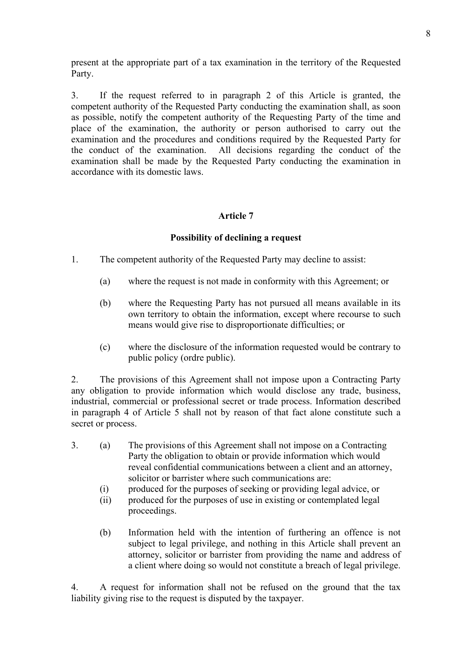present at the appropriate part of a tax examination in the territory of the Requested Party.

3. If the request referred to in paragraph 2 of this Article is granted, the competent authority of the Requested Party conducting the examination shall, as soon as possible, notify the competent authority of the Requesting Party of the time and place of the examination, the authority or person authorised to carry out the examination and the procedures and conditions required by the Requested Party for the conduct of the examination. All decisions regarding the conduct of the examination shall be made by the Requested Party conducting the examination in accordance with its domestic laws.

## **Article 7**

## **Possibility of declining a request**

- 1. The competent authority of the Requested Party may decline to assist:
	- (a) where the request is not made in conformity with this Agreement; or
	- (b) where the Requesting Party has not pursued all means available in its own territory to obtain the information, except where recourse to such means would give rise to disproportionate difficulties; or
	- (c) where the disclosure of the information requested would be contrary to public policy (ordre public).

2. The provisions of this Agreement shall not impose upon a Contracting Party any obligation to provide information which would disclose any trade, business, industrial, commercial or professional secret or trade process. Information described in paragraph 4 of Article 5 shall not by reason of that fact alone constitute such a secret or process.

- 3. (a) The provisions of this Agreement shall not impose on a Contracting Party the obligation to obtain or provide information which would reveal confidential communications between a client and an attorney, solicitor or barrister where such communications are:
	- (i) produced for the purposes of seeking or providing legal advice, or
	- (ii) produced for the purposes of use in existing or contemplated legal proceedings.
	- (b) Information held with the intention of furthering an offence is not subject to legal privilege, and nothing in this Article shall prevent an attorney, solicitor or barrister from providing the name and address of a client where doing so would not constitute a breach of legal privilege.

4. A request for information shall not be refused on the ground that the tax liability giving rise to the request is disputed by the taxpayer.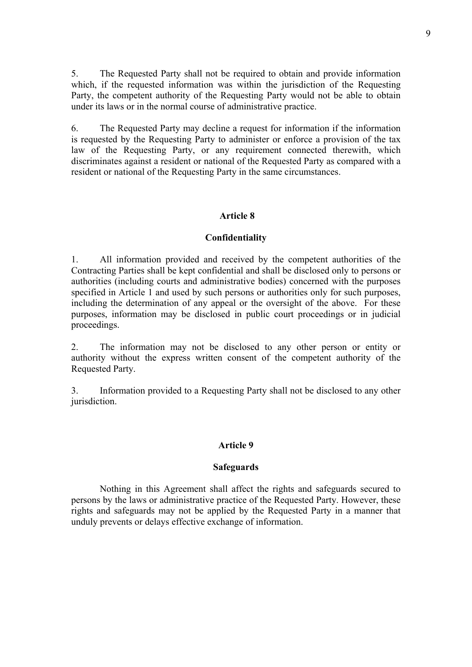5. The Requested Party shall not be required to obtain and provide information which, if the requested information was within the jurisdiction of the Requesting Party, the competent authority of the Requesting Party would not be able to obtain under its laws or in the normal course of administrative practice.

6. The Requested Party may decline a request for information if the information is requested by the Requesting Party to administer or enforce a provision of the tax law of the Requesting Party, or any requirement connected therewith, which discriminates against a resident or national of the Requested Party as compared with a resident or national of the Requesting Party in the same circumstances.

#### **Article 8**

#### **Confidentiality**

1. All information provided and received by the competent authorities of the Contracting Parties shall be kept confidential and shall be disclosed only to persons or authorities (including courts and administrative bodies) concerned with the purposes specified in Article 1 and used by such persons or authorities only for such purposes, including the determination of any appeal or the oversight of the above. For these purposes, information may be disclosed in public court proceedings or in judicial proceedings.

2. The information may not be disclosed to any other person or entity or authority without the express written consent of the competent authority of the Requested Party.

3. Information provided to a Requesting Party shall not be disclosed to any other jurisdiction.

#### **Article 9**

#### **Safeguards**

 Nothing in this Agreement shall affect the rights and safeguards secured to persons by the laws or administrative practice of the Requested Party. However, these rights and safeguards may not be applied by the Requested Party in a manner that unduly prevents or delays effective exchange of information.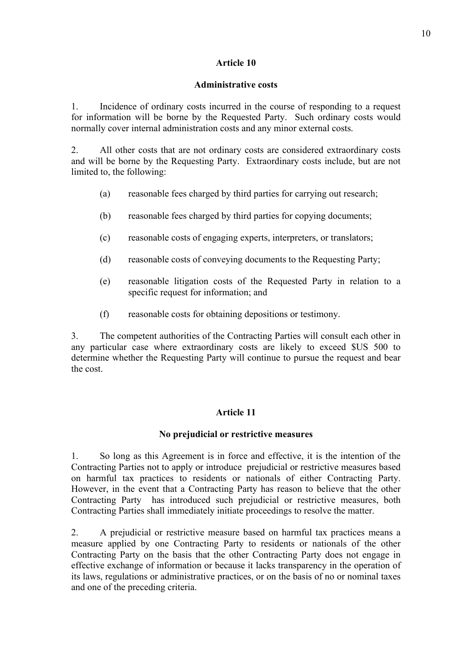## **Article 10**

## **Administrative costs**

1. Incidence of ordinary costs incurred in the course of responding to a request for information will be borne by the Requested Party. Such ordinary costs would normally cover internal administration costs and any minor external costs.

2. All other costs that are not ordinary costs are considered extraordinary costs and will be borne by the Requesting Party. Extraordinary costs include, but are not limited to, the following:

- (a) reasonable fees charged by third parties for carrying out research;
- (b) reasonable fees charged by third parties for copying documents;
- (c) reasonable costs of engaging experts, interpreters, or translators;
- (d) reasonable costs of conveying documents to the Requesting Party;
- (e) reasonable litigation costs of the Requested Party in relation to a specific request for information; and
- (f) reasonable costs for obtaining depositions or testimony.

3. The competent authorities of the Contracting Parties will consult each other in any particular case where extraordinary costs are likely to exceed \$US 500 to determine whether the Requesting Party will continue to pursue the request and bear the cost.

# **Article 11**

# **No prejudicial or restrictive measures**

1. So long as this Agreement is in force and effective, it is the intention of the Contracting Parties not to apply or introduce prejudicial or restrictive measures based on harmful tax practices to residents or nationals of either Contracting Party. However, in the event that a Contracting Party has reason to believe that the other Contracting Party has introduced such prejudicial or restrictive measures, both Contracting Parties shall immediately initiate proceedings to resolve the matter.

2. A prejudicial or restrictive measure based on harmful tax practices means a measure applied by one Contracting Party to residents or nationals of the other Contracting Party on the basis that the other Contracting Party does not engage in effective exchange of information or because it lacks transparency in the operation of its laws, regulations or administrative practices, or on the basis of no or nominal taxes and one of the preceding criteria.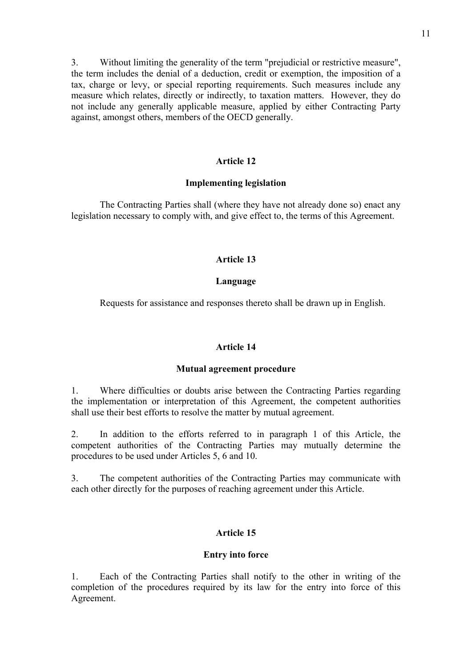3. Without limiting the generality of the term "prejudicial or restrictive measure", the term includes the denial of a deduction, credit or exemption, the imposition of a tax, charge or levy, or special reporting requirements. Such measures include any measure which relates, directly or indirectly, to taxation matters. However, they do not include any generally applicable measure, applied by either Contracting Party against, amongst others, members of the OECD generally.

# **Article 12**

# **Implementing legislation**

The Contracting Parties shall (where they have not already done so) enact any legislation necessary to comply with, and give effect to, the terms of this Agreement.

# **Article 13**

# **Language**

Requests for assistance and responses thereto shall be drawn up in English.

# **Article 14**

# **Mutual agreement procedure**

1. Where difficulties or doubts arise between the Contracting Parties regarding the implementation or interpretation of this Agreement, the competent authorities shall use their best efforts to resolve the matter by mutual agreement.

2. In addition to the efforts referred to in paragraph 1 of this Article, the competent authorities of the Contracting Parties may mutually determine the procedures to be used under Articles 5, 6 and 10.

3. The competent authorities of the Contracting Parties may communicate with each other directly for the purposes of reaching agreement under this Article.

# **Article 15**

# **Entry into force**

1. Each of the Contracting Parties shall notify to the other in writing of the completion of the procedures required by its law for the entry into force of this Agreement.